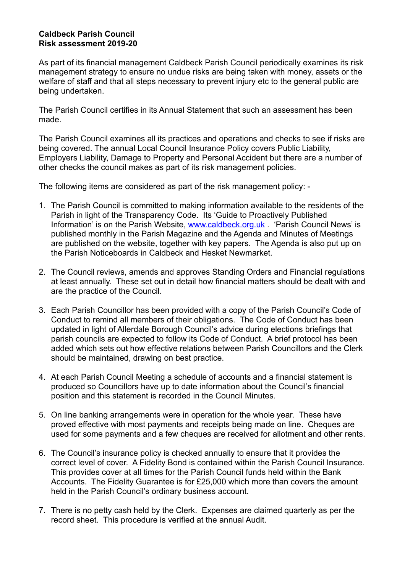## **Caldbeck Parish Council Risk assessment 2019-20**

As part of its financial management Caldbeck Parish Council periodically examines its risk management strategy to ensure no undue risks are being taken with money, assets or the welfare of staff and that all steps necessary to prevent injury etc to the general public are being undertaken.

The Parish Council certifies in its Annual Statement that such an assessment has been made.

The Parish Council examines all its practices and operations and checks to see if risks are being covered. The annual Local Council Insurance Policy covers Public Liability, Employers Liability, Damage to Property and Personal Accident but there are a number of other checks the council makes as part of its risk management policies.

The following items are considered as part of the risk management policy: -

- 1. The Parish Council is committed to making information available to the residents of the Parish in light of the Transparency Code. Its 'Guide to Proactively Published Information' is on the Parish Website, [www.caldbeck.org.uk](http://www.caldbeck.org.uk) . 'Parish Council News' is published monthly in the Parish Magazine and the Agenda and Minutes of Meetings are published on the website, together with key papers. The Agenda is also put up on the Parish Noticeboards in Caldbeck and Hesket Newmarket.
- 2. The Council reviews, amends and approves Standing Orders and Financial regulations at least annually. These set out in detail how financial matters should be dealt with and are the practice of the Council.
- 3. Each Parish Councillor has been provided with a copy of the Parish Council's Code of Conduct to remind all members of their obligations. The Code of Conduct has been updated in light of Allerdale Borough Council's advice during elections briefings that parish councils are expected to follow its Code of Conduct. A brief protocol has been added which sets out how effective relations between Parish Councillors and the Clerk should be maintained, drawing on best practice.
- 4. At each Parish Council Meeting a schedule of accounts and a financial statement is produced so Councillors have up to date information about the Council's financial position and this statement is recorded in the Council Minutes.
- 5. On line banking arrangements were in operation for the whole year. These have proved effective with most payments and receipts being made on line. Cheques are used for some payments and a few cheques are received for allotment and other rents.
- 6. The Council's insurance policy is checked annually to ensure that it provides the correct level of cover. A Fidelity Bond is contained within the Parish Council Insurance. This provides cover at all times for the Parish Council funds held within the Bank Accounts. The Fidelity Guarantee is for £25,000 which more than covers the amount held in the Parish Council's ordinary business account.
- 7. There is no petty cash held by the Clerk. Expenses are claimed quarterly as per the record sheet. This procedure is verified at the annual Audit.